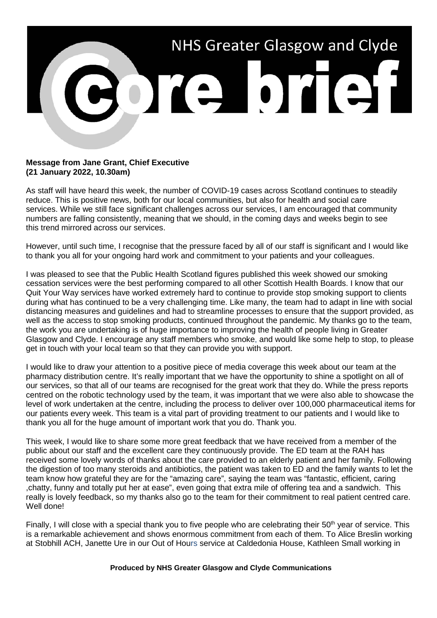

## **Message from Jane Grant, Chief Executive (21 January 2022, 10.30am)**

As staff will have heard this week, the number of COVID-19 cases across Scotland continues to steadily reduce. This is positive news, both for our local communities, but also for health and social care services. While we still face significant challenges across our services, I am encouraged that community numbers are falling consistently, meaning that we should, in the coming days and weeks begin to see this trend mirrored across our services.

However, until such time, I recognise that the pressure faced by all of our staff is significant and I would like to thank you all for your ongoing hard work and commitment to your patients and your colleagues.

I was pleased to see that the Public Health Scotland figures published this week showed our smoking cessation services were the best performing compared to all other Scottish Health Boards. I know that our Quit Your Way services have worked extremely hard to continue to provide stop smoking support to clients during what has continued to be a very challenging time. Like many, the team had to adapt in line with social distancing measures and guidelines and had to streamline processes to ensure that the support provided, as well as the access to stop smoking products, continued throughout the pandemic. My thanks go to the team, the work you are undertaking is of huge importance to improving the health of people living in Greater Glasgow and Clyde. I encourage any staff members who smoke, and would like some help to stop, to please get in touch with your local team so that they can provide you with support.

I would like to draw your attention to a positive piece of media coverage this week about our team at the pharmacy distribution centre. It's really important that we have the opportunity to shine a spotlight on all of our services, so that all of our teams are recognised for the great work that they do. While the press reports centred on the robotic technology used by the team, it was important that we were also able to showcase the level of work undertaken at the centre, including the process to deliver over 100,000 pharmaceutical items for our patients every week. This team is a vital part of providing treatment to our patients and I would like to thank you all for the huge amount of important work that you do. Thank you.

This week, I would like to share some more great feedback that we have received from a member of the public about our staff and the excellent care they continuously provide. The ED team at the RAH has received some lovely words of thanks about the care provided to an elderly patient and her family. Following the digestion of too many steroids and antibiotics, the patient was taken to ED and the family wants to let the team know how grateful they are for the "amazing care", saying the team was "fantastic, efficient, caring ,chatty, funny and totally put her at ease", even going that extra mile of offering tea and a sandwich. This really is lovely feedback, so my thanks also go to the team for their commitment to real patient centred care. Well done!

Finally, I will close with a special thank you to five people who are celebrating their 50<sup>th</sup> vear of service. This is a remarkable achievement and shows enormous commitment from each of them. To Alice Breslin working at Stobhill ACH, Janette Ure in our Out of Hours service at Caldedonia House, Kathleen Small working in

## **Produced by NHS Greater Glasgow and Clyde Communications**